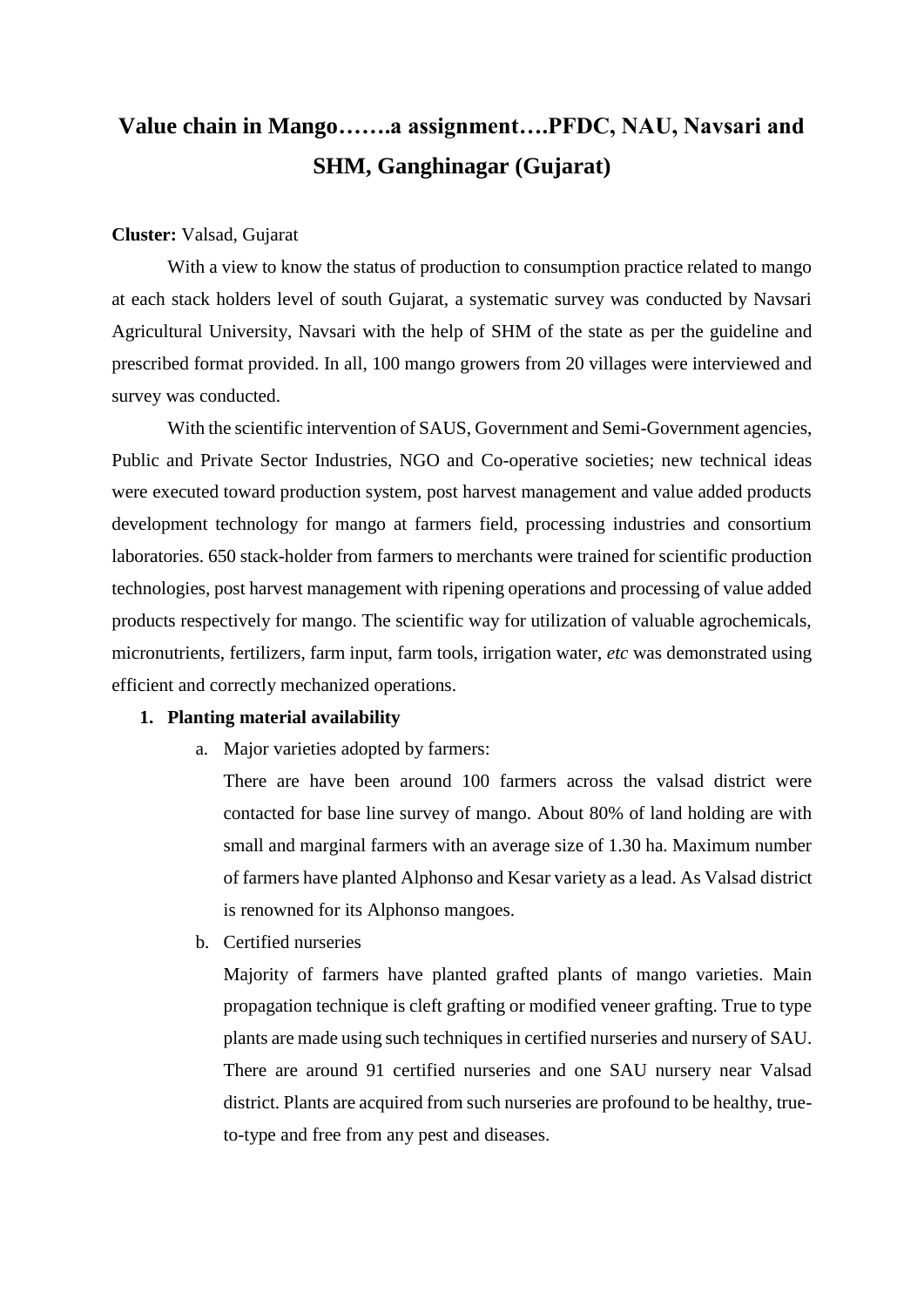# **Value chain in Mango…….a assignment….PFDC, NAU, Navsari and SHM, Ganghinagar (Gujarat)**

#### **Cluster:** Valsad, Gujarat

With a view to know the status of production to consumption practice related to mango at each stack holders level of south Gujarat, a systematic survey was conducted by Navsari Agricultural University, Navsari with the help of SHM of the state as per the guideline and prescribed format provided. In all, 100 mango growers from 20 villages were interviewed and survey was conducted.

With the scientific intervention of SAUS, Government and Semi-Government agencies, Public and Private Sector Industries, NGO and Co-operative societies; new technical ideas were executed toward production system, post harvest management and value added products development technology for mango at farmers field, processing industries and consortium laboratories. 650 stack-holder from farmers to merchants were trained for scientific production technologies, post harvest management with ripening operations and processing of value added products respectively for mango. The scientific way for utilization of valuable agrochemicals, micronutrients, fertilizers, farm input, farm tools, irrigation water, *etc* was demonstrated using efficient and correctly mechanized operations.

#### **1. Planting material availability**

a. Major varieties adopted by farmers:

There are have been around 100 farmers across the valsad district were contacted for base line survey of mango. About 80% of land holding are with small and marginal farmers with an average size of 1.30 ha. Maximum number of farmers have planted Alphonso and Kesar variety as a lead. As Valsad district is renowned for its Alphonso mangoes.

b. Certified nurseries

Majority of farmers have planted grafted plants of mango varieties. Main propagation technique is cleft grafting or modified veneer grafting. True to type plants are made using such techniques in certified nurseries and nursery of SAU. There are around 91 certified nurseries and one SAU nursery near Valsad district. Plants are acquired from such nurseries are profound to be healthy, trueto-type and free from any pest and diseases.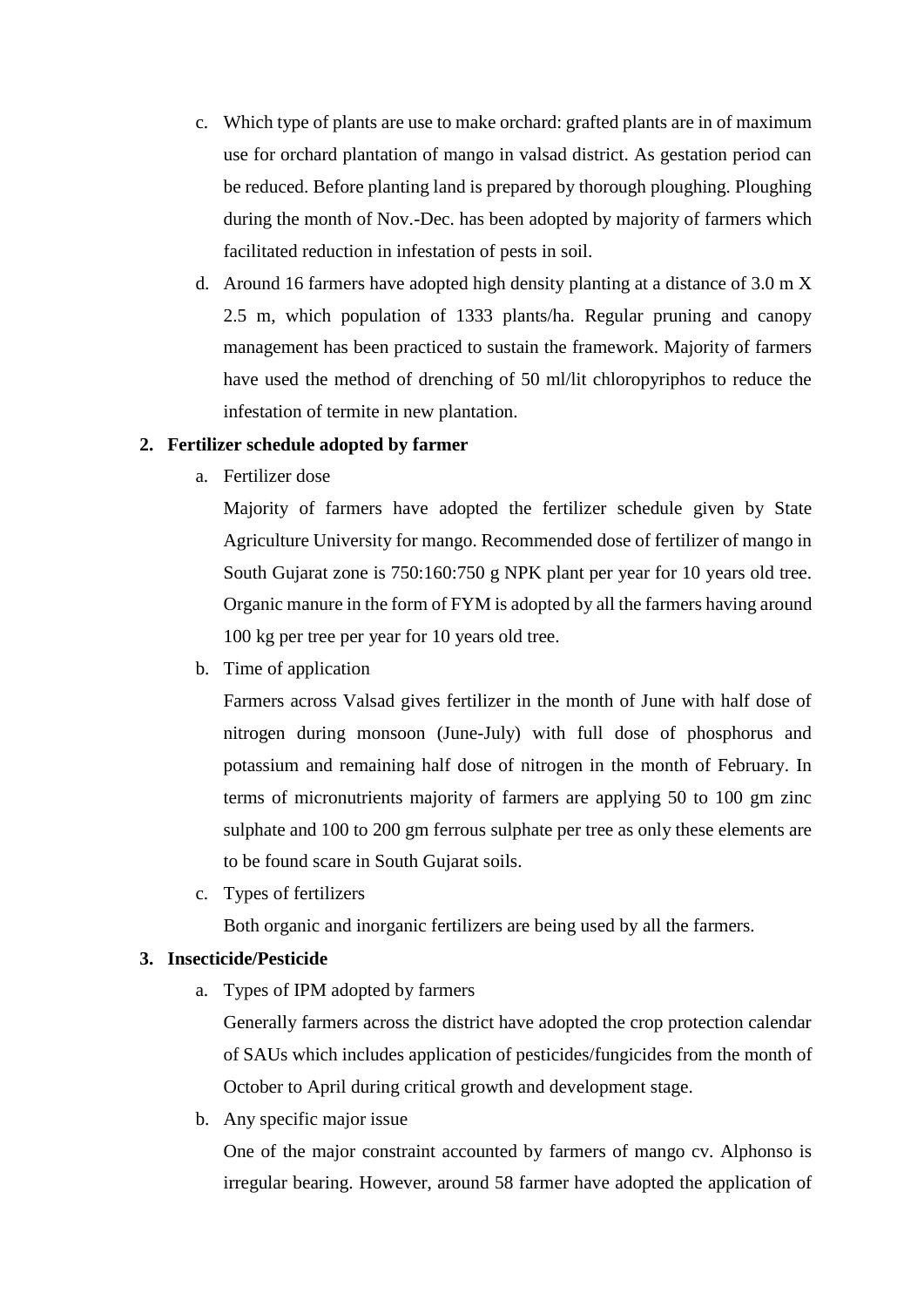- c. Which type of plants are use to make orchard: grafted plants are in of maximum use for orchard plantation of mango in valsad district. As gestation period can be reduced. Before planting land is prepared by thorough ploughing. Ploughing during the month of Nov.-Dec. has been adopted by majority of farmers which facilitated reduction in infestation of pests in soil.
- d. Around 16 farmers have adopted high density planting at a distance of 3.0 m X 2.5 m, which population of 1333 plants/ha. Regular pruning and canopy management has been practiced to sustain the framework. Majority of farmers have used the method of drenching of 50 ml/lit chloropyriphos to reduce the infestation of termite in new plantation.

## **2. Fertilizer schedule adopted by farmer**

a. Fertilizer dose

Majority of farmers have adopted the fertilizer schedule given by State Agriculture University for mango. Recommended dose of fertilizer of mango in South Gujarat zone is 750:160:750 g NPK plant per year for 10 years old tree. Organic manure in the form of FYM is adopted by all the farmers having around 100 kg per tree per year for 10 years old tree.

b. Time of application

Farmers across Valsad gives fertilizer in the month of June with half dose of nitrogen during monsoon (June-July) with full dose of phosphorus and potassium and remaining half dose of nitrogen in the month of February. In terms of micronutrients majority of farmers are applying 50 to 100 gm zinc sulphate and 100 to 200 gm ferrous sulphate per tree as only these elements are to be found scare in South Gujarat soils.

c. Types of fertilizers

Both organic and inorganic fertilizers are being used by all the farmers.

## **3. Insecticide/Pesticide**

a. Types of IPM adopted by farmers

Generally farmers across the district have adopted the crop protection calendar of SAUs which includes application of pesticides/fungicides from the month of October to April during critical growth and development stage.

b. Any specific major issue

One of the major constraint accounted by farmers of mango cv. Alphonso is irregular bearing. However, around 58 farmer have adopted the application of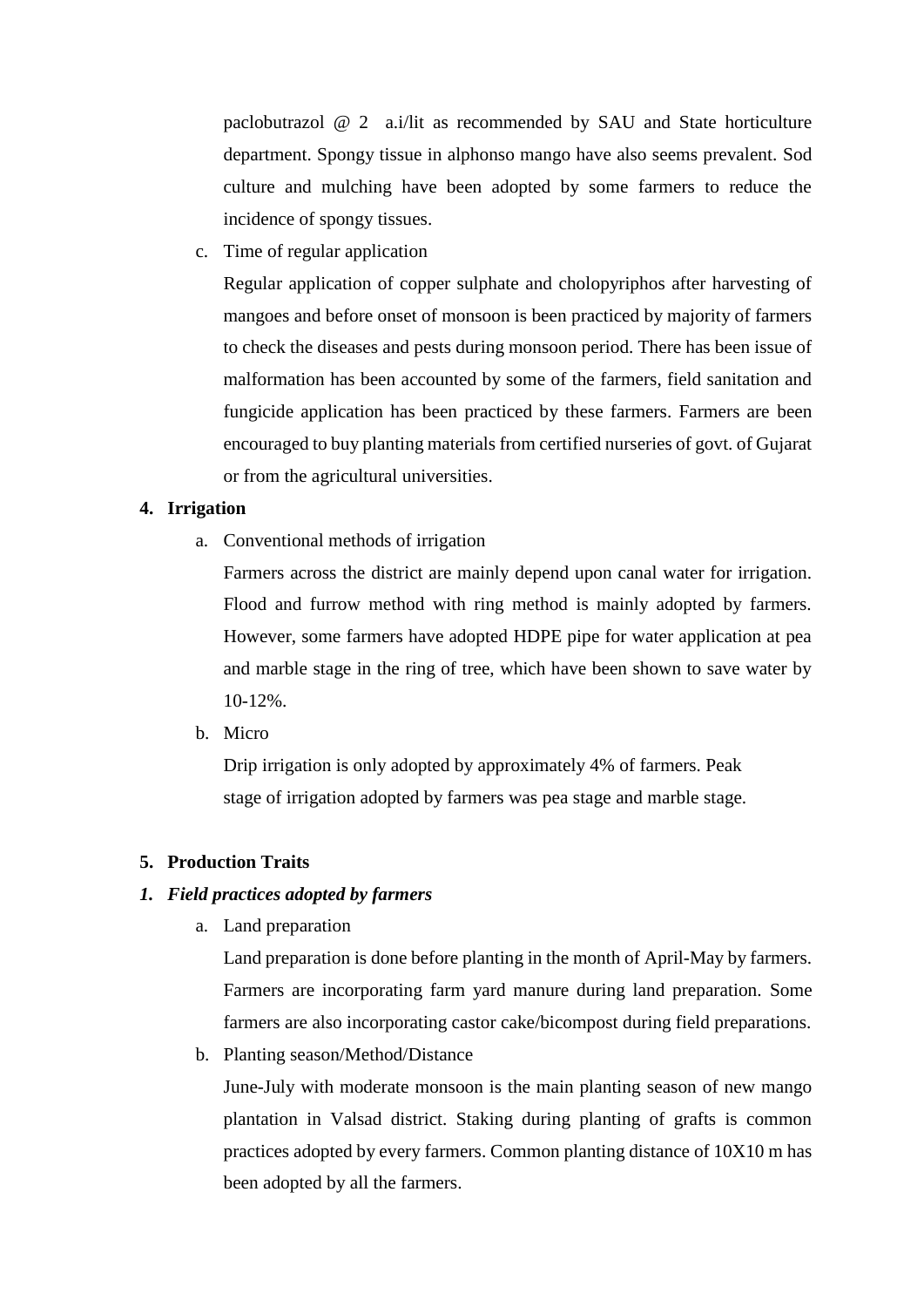paclobutrazol @ 2 a.i/lit as recommended by SAU and State horticulture department. Spongy tissue in alphonso mango have also seems prevalent. Sod culture and mulching have been adopted by some farmers to reduce the incidence of spongy tissues.

c. Time of regular application

Regular application of copper sulphate and cholopyriphos after harvesting of mangoes and before onset of monsoon is been practiced by majority of farmers to check the diseases and pests during monsoon period. There has been issue of malformation has been accounted by some of the farmers, field sanitation and fungicide application has been practiced by these farmers. Farmers are been encouraged to buy planting materials from certified nurseries of govt. of Gujarat or from the agricultural universities.

#### **4. Irrigation**

a. Conventional methods of irrigation

Farmers across the district are mainly depend upon canal water for irrigation. Flood and furrow method with ring method is mainly adopted by farmers. However, some farmers have adopted HDPE pipe for water application at pea and marble stage in the ring of tree, which have been shown to save water by 10-12%.

b. Micro

Drip irrigation is only adopted by approximately 4% of farmers. Peak stage of irrigation adopted by farmers was pea stage and marble stage.

#### **5. Production Traits**

## *1. Field practices adopted by farmers*

a. Land preparation

Land preparation is done before planting in the month of April-May by farmers. Farmers are incorporating farm yard manure during land preparation. Some farmers are also incorporating castor cake/bicompost during field preparations.

b. Planting season/Method/Distance

June-July with moderate monsoon is the main planting season of new mango plantation in Valsad district. Staking during planting of grafts is common practices adopted by every farmers. Common planting distance of 10X10 m has been adopted by all the farmers.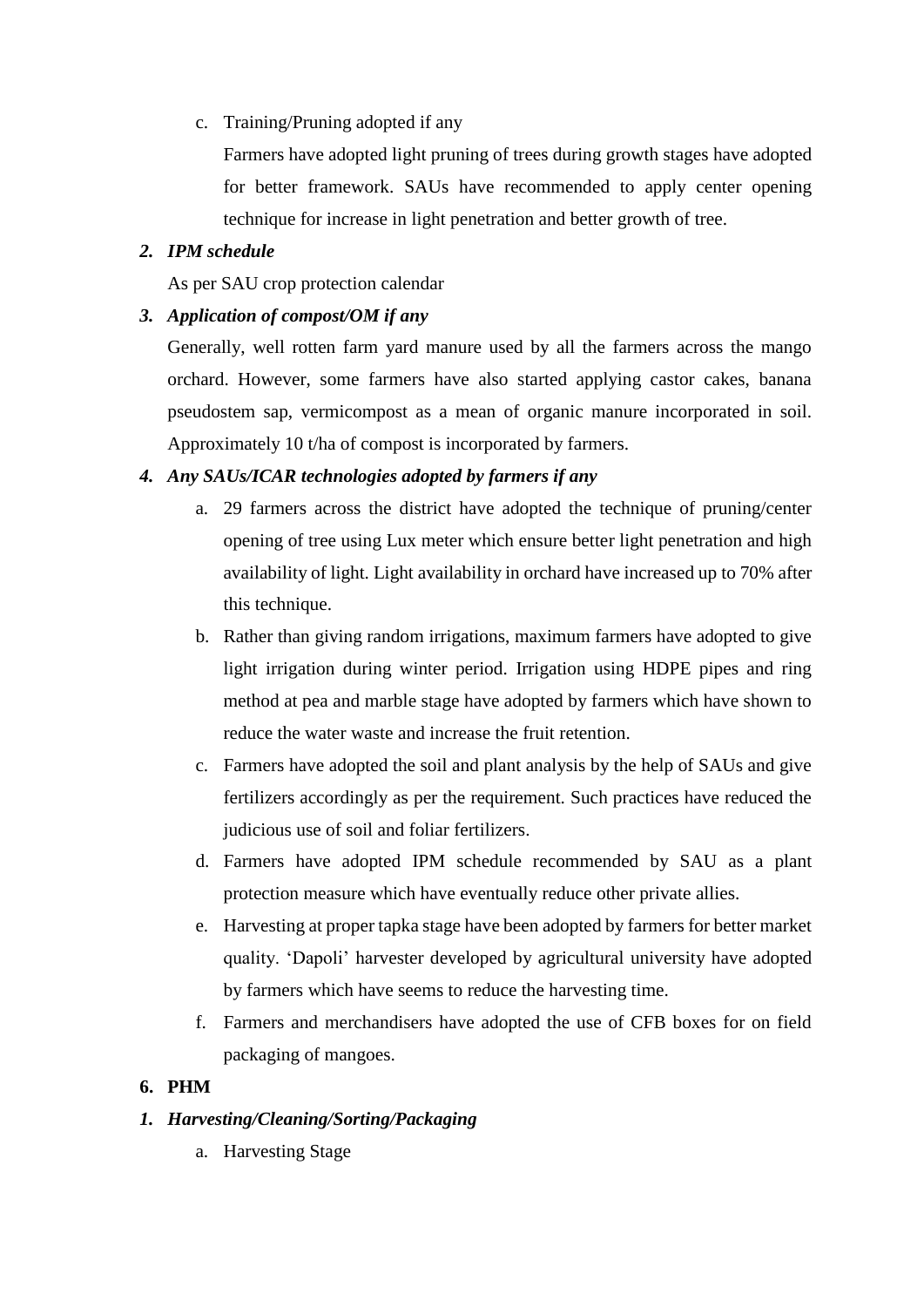c. Training/Pruning adopted if any

Farmers have adopted light pruning of trees during growth stages have adopted for better framework. SAUs have recommended to apply center opening technique for increase in light penetration and better growth of tree.

# *2. IPM schedule*

As per SAU crop protection calendar

# *3. Application of compost/OM if any*

Generally, well rotten farm yard manure used by all the farmers across the mango orchard. However, some farmers have also started applying castor cakes, banana pseudostem sap, vermicompost as a mean of organic manure incorporated in soil. Approximately 10 t/ha of compost is incorporated by farmers.

# *4. Any SAUs/ICAR technologies adopted by farmers if any*

- a. 29 farmers across the district have adopted the technique of pruning/center opening of tree using Lux meter which ensure better light penetration and high availability of light. Light availability in orchard have increased up to 70% after this technique.
- b. Rather than giving random irrigations, maximum farmers have adopted to give light irrigation during winter period. Irrigation using HDPE pipes and ring method at pea and marble stage have adopted by farmers which have shown to reduce the water waste and increase the fruit retention.
- c. Farmers have adopted the soil and plant analysis by the help of SAUs and give fertilizers accordingly as per the requirement. Such practices have reduced the judicious use of soil and foliar fertilizers.
- d. Farmers have adopted IPM schedule recommended by SAU as a plant protection measure which have eventually reduce other private allies.
- e. Harvesting at proper tapka stage have been adopted by farmers for better market quality. 'Dapoli' harvester developed by agricultural university have adopted by farmers which have seems to reduce the harvesting time.
- f. Farmers and merchandisers have adopted the use of CFB boxes for on field packaging of mangoes.

# **6. PHM**

# *1. Harvesting/Cleaning/Sorting/Packaging*

a. Harvesting Stage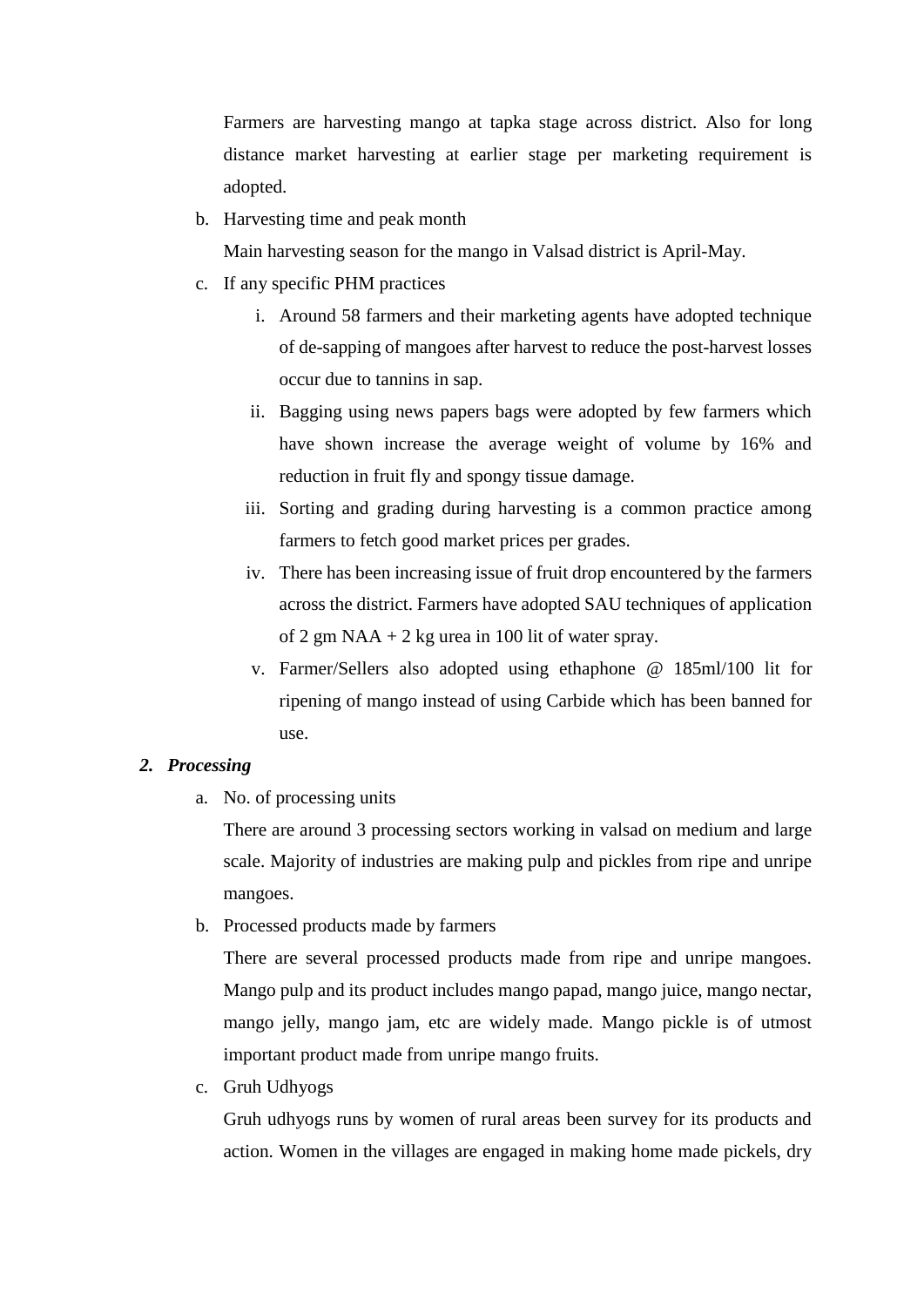Farmers are harvesting mango at tapka stage across district. Also for long distance market harvesting at earlier stage per marketing requirement is adopted.

b. Harvesting time and peak month

Main harvesting season for the mango in Valsad district is April-May.

- c. If any specific PHM practices
	- i. Around 58 farmers and their marketing agents have adopted technique of de-sapping of mangoes after harvest to reduce the post-harvest losses occur due to tannins in sap.
	- ii. Bagging using news papers bags were adopted by few farmers which have shown increase the average weight of volume by 16% and reduction in fruit fly and spongy tissue damage.
	- iii. Sorting and grading during harvesting is a common practice among farmers to fetch good market prices per grades.
	- iv. There has been increasing issue of fruit drop encountered by the farmers across the district. Farmers have adopted SAU techniques of application of 2 gm  $NAA + 2$  kg urea in 100 lit of water spray.
	- v. Farmer/Sellers also adopted using ethaphone @ 185ml/100 lit for ripening of mango instead of using Carbide which has been banned for use.

#### *2. Processing*

a. No. of processing units

There are around 3 processing sectors working in valsad on medium and large scale. Majority of industries are making pulp and pickles from ripe and unripe mangoes.

b. Processed products made by farmers

There are several processed products made from ripe and unripe mangoes. Mango pulp and its product includes mango papad, mango juice, mango nectar, mango jelly, mango jam, etc are widely made. Mango pickle is of utmost important product made from unripe mango fruits.

c. Gruh Udhyogs

Gruh udhyogs runs by women of rural areas been survey for its products and action. Women in the villages are engaged in making home made pickels, dry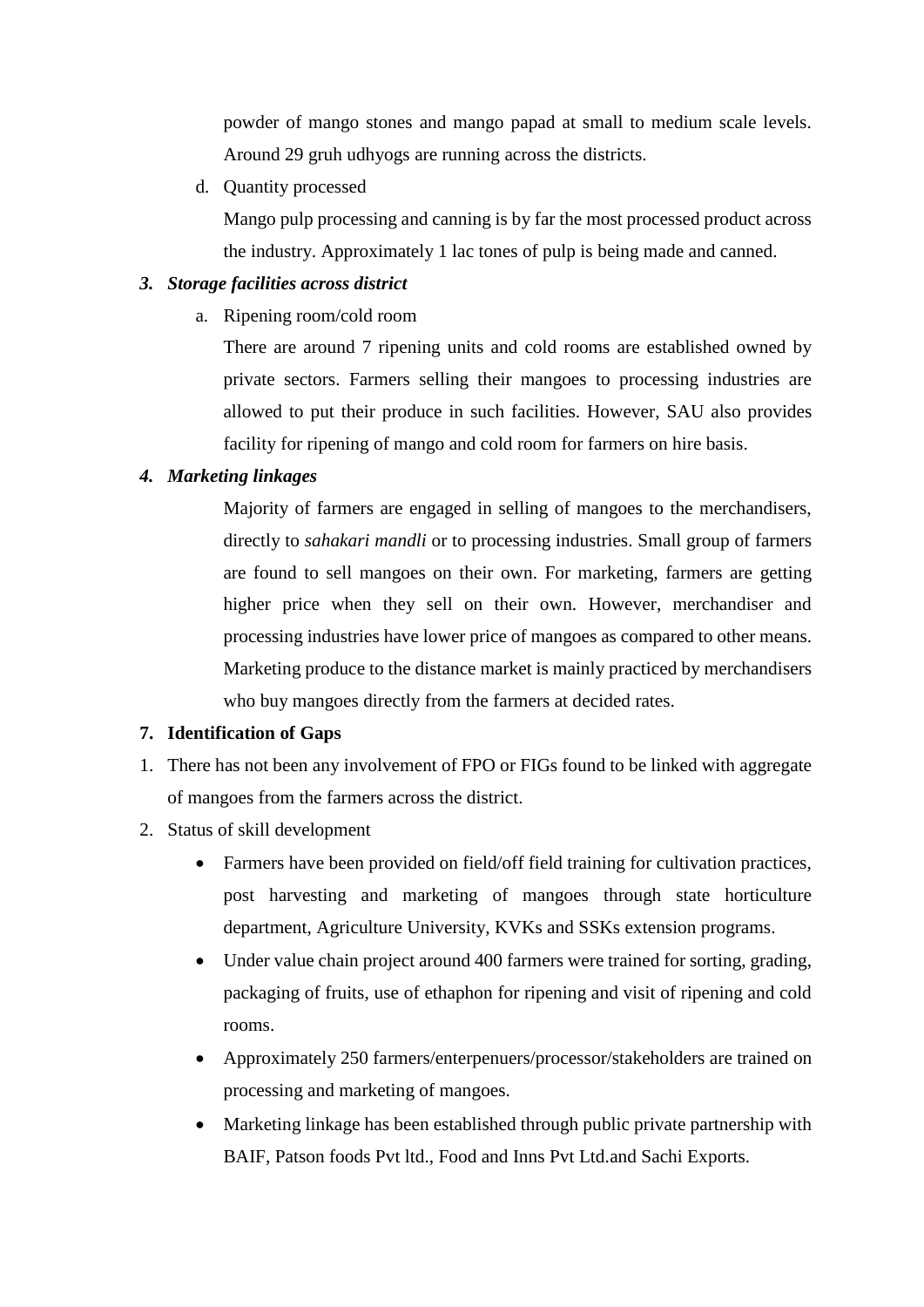powder of mango stones and mango papad at small to medium scale levels. Around 29 gruh udhyogs are running across the districts.

d. Quantity processed

Mango pulp processing and canning is by far the most processed product across the industry. Approximately 1 lac tones of pulp is being made and canned.

## *3. Storage facilities across district*

a. Ripening room/cold room

There are around 7 ripening units and cold rooms are established owned by private sectors. Farmers selling their mangoes to processing industries are allowed to put their produce in such facilities. However, SAU also provides facility for ripening of mango and cold room for farmers on hire basis.

## *4. Marketing linkages*

Majority of farmers are engaged in selling of mangoes to the merchandisers, directly to *sahakari mandli* or to processing industries. Small group of farmers are found to sell mangoes on their own. For marketing, farmers are getting higher price when they sell on their own. However, merchandiser and processing industries have lower price of mangoes as compared to other means. Marketing produce to the distance market is mainly practiced by merchandisers who buy mangoes directly from the farmers at decided rates.

## **7. Identification of Gaps**

- 1. There has not been any involvement of FPO or FIGs found to be linked with aggregate of mangoes from the farmers across the district.
- 2. Status of skill development
	- Farmers have been provided on field/off field training for cultivation practices, post harvesting and marketing of mangoes through state horticulture department, Agriculture University, KVKs and SSKs extension programs.
	- Under value chain project around 400 farmers were trained for sorting, grading, packaging of fruits, use of ethaphon for ripening and visit of ripening and cold rooms.
	- Approximately 250 farmers/enterpenuers/processor/stakeholders are trained on processing and marketing of mangoes.
	- Marketing linkage has been established through public private partnership with BAIF, Patson foods Pvt ltd., Food and Inns Pvt Ltd.and Sachi Exports.